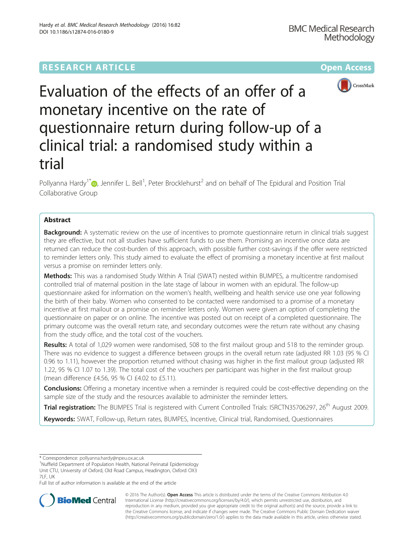# **RESEARCH ARTICLE Example 2014 12:30 The Contract of Contract ACCESS**



Evaluation of the effects of an offer of a monetary incentive on the rate of questionnaire return during follow-up of a clinical trial: a randomised study within a trial

Pollyanna Hardy<sup>1[\\*](http://orcid.org/0000-0003-2937-8368)</sup> $\bm{\circ}$ , Jennifer L. Bell<sup>1</sup>, Peter Brocklehurst<sup>2</sup> and on behalf of The Epidural and Position Trial Collaborative Group

# Abstract

**Background:** A systematic review on the use of incentives to promote questionnaire return in clinical trials suggest they are effective, but not all studies have sufficient funds to use them. Promising an incentive once data are returned can reduce the cost-burden of this approach, with possible further cost-savings if the offer were restricted to reminder letters only. This study aimed to evaluate the effect of promising a monetary incentive at first mailout versus a promise on reminder letters only.

Methods: This was a randomised Study Within A Trial (SWAT) nested within BUMPES, a multicentre randomised controlled trial of maternal position in the late stage of labour in women with an epidural. The follow-up questionnaire asked for information on the women's health, wellbeing and health service use one year following the birth of their baby. Women who consented to be contacted were randomised to a promise of a monetary incentive at first mailout or a promise on reminder letters only. Women were given an option of completing the questionnaire on paper or on online. The incentive was posted out on receipt of a completed questionnaire. The primary outcome was the overall return rate, and secondary outcomes were the return rate without any chasing from the study office, and the total cost of the vouchers.

Results: A total of 1,029 women were randomised, 508 to the first mailout group and 518 to the reminder group. There was no evidence to suggest a difference between groups in the overall return rate (adjusted RR 1.03 (95 % CI 0.96 to 1.11), however the proportion returned without chasing was higher in the first mailout group (adjusted RR 1.22, 95 % CI 1.07 to 1.39). The total cost of the vouchers per participant was higher in the first mailout group (mean difference £4.56, 95 % CI £4.02 to £5.11).

**Conclusions:** Offering a monetary incentive when a reminder is required could be cost-effective depending on the sample size of the study and the resources available to administer the reminder letters.

Trial registration: The BUMPES Trial is registered with Current Controlled Trials: [ISRCTN35706297,](http://www.isrctn.com/ISRCTN35706297) 26<sup>th</sup> August 2009.

Keywords: SWAT, Follow-up, Return rates, BUMPES, Incentive, Clinical trial, Randomised, Questionnaires

\* Correspondence: [pollyanna.hardy@npeu.ox.ac.uk](mailto:pollyanna.hardy@npeu.ox.ac.uk) <sup>1</sup>

<sup>1</sup>Nuffield Department of Population Health, National Perinatal Epidemiology Unit CTU, University of Oxford, Old Road Campus, Headington, Oxford OX3 7LF, UK

Full list of author information is available at the end of the article



© 2016 The Author(s). Open Access This article is distributed under the terms of the Creative Commons Attribution 4.0 International License [\(http://creativecommons.org/licenses/by/4.0/](http://creativecommons.org/licenses/by/4.0/)), which permits unrestricted use, distribution, and reproduction in any medium, provided you give appropriate credit to the original author(s) and the source, provide a link to the Creative Commons license, and indicate if changes were made. The Creative Commons Public Domain Dedication waiver [\(http://creativecommons.org/publicdomain/zero/1.0/](http://creativecommons.org/publicdomain/zero/1.0/)) applies to the data made available in this article, unless otherwise stated.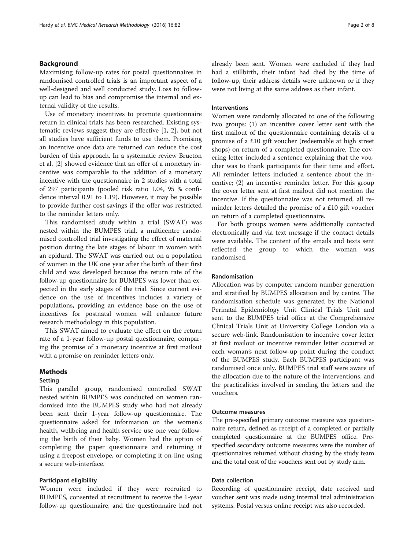# Background

Maximising follow-up rates for postal questionnaires in randomised controlled trials is an important aspect of a well-designed and well conducted study. Loss to followup can lead to bias and compromise the internal and external validity of the results.

Use of monetary incentives to promote questionnaire return in clinical trials has been researched. Existing systematic reviews suggest they are effective [\[1](#page-7-0), [2\]](#page-7-0), but not all studies have sufficient funds to use them. Promising an incentive once data are returned can reduce the cost burden of this approach. In a systematic review Brueton et al. [\[2](#page-7-0)] showed evidence that an offer of a monetary incentive was comparable to the addition of a monetary incentive with the questionnaire in 2 studies with a total of 297 participants (pooled risk ratio 1.04, 95 % confidence interval 0.91 to 1.19). However, it may be possible to provide further cost-savings if the offer was restricted to the reminder letters only.

This randomised study within a trial (SWAT) was nested within the BUMPES trial, a multicentre randomised controlled trial investigating the effect of maternal position during the late stages of labour in women with an epidural. The SWAT was carried out on a population of women in the UK one year after the birth of their first child and was developed because the return rate of the follow-up questionnaire for BUMPES was lower than expected in the early stages of the trial. Since current evidence on the use of incentives includes a variety of populations, providing an evidence base on the use of incentives for postnatal women will enhance future research methodology in this population.

This SWAT aimed to evaluate the effect on the return rate of a 1-year follow-up postal questionnaire, comparing the promise of a monetary incentive at first mailout with a promise on reminder letters only.

# Methods

#### Setting

This parallel group, randomised controlled SWAT nested within BUMPES was conducted on women randomised into the BUMPES study who had not already been sent their 1-year follow-up questionnaire. The questionnaire asked for information on the women's health, wellbeing and health service use one year following the birth of their baby. Women had the option of completing the paper questionnaire and returning it using a freepost envelope, or completing it on-line using a secure web-interface.

### Participant eligibility

Women were included if they were recruited to BUMPES, consented at recruitment to receive the 1-year follow-up questionnaire, and the questionnaire had not already been sent. Women were excluded if they had had a stillbirth, their infant had died by the time of follow-up, their address details were unknown or if they were not living at the same address as their infant.

#### Interventions

Women were randomly allocated to one of the following two groups: (1) an incentive cover letter sent with the first mailout of the questionnaire containing details of a promise of a £10 gift voucher (redeemable at high street shops) on return of a completed questionnaire. The covering letter included a sentence explaining that the voucher was to thank participants for their time and effort. All reminder letters included a sentence about the incentive; (2) an incentive reminder letter. For this group the cover letter sent at first mailout did not mention the incentive. If the questionnaire was not returned, all reminder letters detailed the promise of a £10 gift voucher on return of a completed questionnaire.

For both groups women were additionally contacted electronically and via text message if the contact details were available. The content of the emails and texts sent reflected the group to which the woman was randomised.

# Randomisation

Allocation was by computer random number generation and stratified by BUMPES allocation and by centre. The randomisation schedule was generated by the National Perinatal Epidemiology Unit Clinical Trials Unit and sent to the BUMPES trial office at the Comprehensive Clinical Trials Unit at University College London via a secure web-link. Randomisation to incentive cover letter at first mailout or incentive reminder letter occurred at each woman's next follow-up point during the conduct of the BUMPES study. Each BUMPES participant was randomised once only. BUMPES trial staff were aware of the allocation due to the nature of the interventions, and the practicalities involved in sending the letters and the vouchers.

# Outcome measures

The pre-specified primary outcome measure was questionnaire return, defined as receipt of a completed or partially completed questionnaire at the BUMPES office. Prespecified secondary outcome measures were the number of questionnaires returned without chasing by the study team and the total cost of the vouchers sent out by study arm.

### Data collection

Recording of questionnaire receipt, date received and voucher sent was made using internal trial administration systems. Postal versus online receipt was also recorded.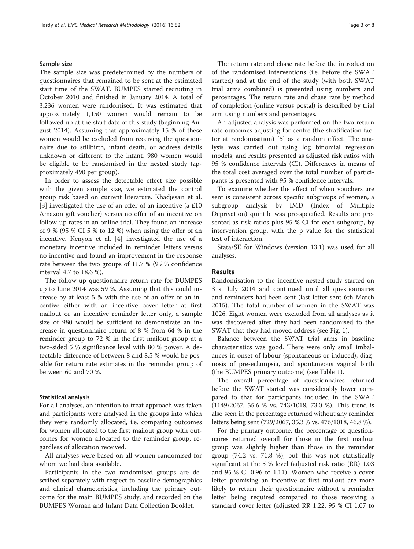### Sample size

The sample size was predetermined by the numbers of questionnaires that remained to be sent at the estimated start time of the SWAT. BUMPES started recruiting in October 2010 and finished in January 2014. A total of 3,236 women were randomised. It was estimated that approximately 1,150 women would remain to be followed up at the start date of this study (beginning August 2014). Assuming that approximately 15 % of these women would be excluded from receiving the questionnaire due to stillbirth, infant death, or address details unknown or different to the infant, 980 women would be eligible to be randomised in the nested study (approximately 490 per group).

In order to assess the detectable effect size possible with the given sample size, we estimated the control group risk based on current literature. Khadjesari et al. [[3\]](#page-7-0) investigated the use of an offer of an incentive (a £10 Amazon gift voucher) versus no offer of an incentive on follow-up rates in an online trial. They found an increase of 9 % (95 % CI 5 % to 12 %) when using the offer of an incentive. Kenyon et al. [\[4](#page-7-0)] investigated the use of a monetary incentive included in reminder letters versus no incentive and found an improvement in the response rate between the two groups of 11.7 % (95 % confidence interval 4.7 to 18.6 %).

The follow-up questionnaire return rate for BUMPES up to June 2014 was 59 %. Assuming that this could increase by at least 5 % with the use of an offer of an incentive either with an incentive cover letter at first mailout or an incentive reminder letter only, a sample size of 980 would be sufficient to demonstrate an increase in questionnaire return of 8 % from 64 % in the reminder group to 72 % in the first mailout group at a two-sided 5 % significance level with 80 % power. A detectable difference of between 8 and 8.5 % would be possible for return rate estimates in the reminder group of between 60 and 70 %.

## Statistical analysis

For all analyses, an intention to treat approach was taken and participants were analysed in the groups into which they were randomly allocated, i.e. comparing outcomes for women allocated to the first mailout group with outcomes for women allocated to the reminder group, regardless of allocation received.

All analyses were based on all women randomised for whom we had data available.

Participants in the two randomised groups are described separately with respect to baseline demographics and clinical characteristics, including the primary outcome for the main BUMPES study, and recorded on the BUMPES Woman and Infant Data Collection Booklet.

The return rate and chase rate before the introduction of the randomised interventions (i.e. before the SWAT started) and at the end of the study (with both SWAT trial arms combined) is presented using numbers and percentages. The return rate and chase rate by method of completion (online versus postal) is described by trial arm using numbers and percentages.

An adjusted analysis was performed on the two return rate outcomes adjusting for centre (the stratification factor at randomisation) [\[5](#page-7-0)] as a random effect. The analysis was carried out using log binomial regression models, and results presented as adjusted risk ratios with 95 % confidence intervals (CI). Differences in means of the total cost averaged over the total number of participants is presented with 95 % confidence intervals.

To examine whether the effect of when vouchers are sent is consistent across specific subgroups of women, a subgroup analysis by IMD (Index of Multiple Deprivation) quintile was pre-specified. Results are presented as risk ratios plus 95 % CI for each subgroup, by intervention group, with the p value for the statistical test of interaction.

Stata/SE for Windows (version 13.1) was used for all analyses.

## Results

Randomisation to the incentive nested study started on 31st July 2014 and continued until all questionnaires and reminders had been sent (last letter sent 6th March 2015). The total number of women in the SWAT was 1026. Eight women were excluded from all analyses as it was discovered after they had been randomised to the SWAT that they had moved address (see Fig. [1](#page-3-0)).

Balance between the SWAT trial arms in baseline characteristics was good. There were only small imbalances in onset of labour (spontaneous or induced), diagnosis of pre-eclampsia, and spontaneous vaginal birth (the BUMPES primary outcome) (see Table [1\)](#page-4-0).

The overall percentage of questionnaires returned before the SWAT started was considerably lower compared to that for participants included in the SWAT (1149/2067, 55.6 % vs. 743/1018, 73.0 %). This trend is also seen in the percentage returned without any reminder letters being sent (729/2067, 35.3 % vs. 476/1018, 46.8 %).

For the primary outcome, the percentage of questionnaires returned overall for those in the first mailout group was slightly higher than those in the reminder group (74.2 vs. 71.8 %), but this was not statistically significant at the 5 % level (adjusted risk ratio (RR) 1.03 and 95 % CI 0.96 to 1.11). Women who receive a cover letter promising an incentive at first mailout are more likely to return their questionnaire without a reminder letter being required compared to those receiving a standard cover letter (adjusted RR 1.22, 95 % CI 1.07 to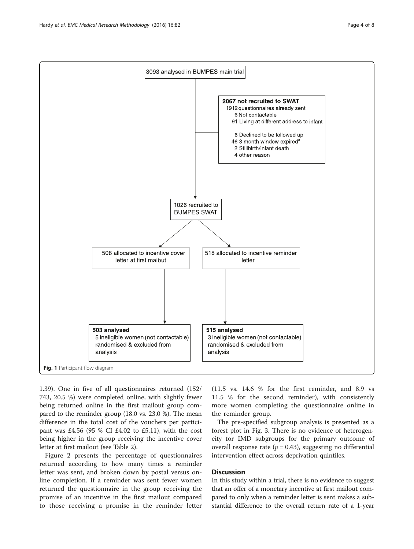<span id="page-3-0"></span>

1.39). One in five of all questionnaires returned (152/ 743, 20.5 %) were completed online, with slightly fewer being returned online in the first mailout group compared to the reminder group (18.0 vs. 23.0 %). The mean difference in the total cost of the vouchers per participant was £4.56 (95 % CI £4.02 to £5.11), with the cost being higher in the group receiving the incentive cover letter at first mailout (see Table [2\)](#page-5-0).

Figure [2](#page-5-0) presents the percentage of questionnaires returned according to how many times a reminder letter was sent, and broken down by postal versus online completion. If a reminder was sent fewer women returned the questionnaire in the group receiving the promise of an incentive in the first mailout compared to those receiving a promise in the reminder letter (11.5 vs. 14.6 % for the first reminder, and 8.9 vs 11.5 % for the second reminder), with consistently more women completing the questionnaire online in the reminder group.

The pre-specified subgroup analysis is presented as a forest plot in Fig. [3.](#page-6-0) There is no evidence of heterogeneity for IMD subgroups for the primary outcome of overall response rate ( $p = 0.43$ ), suggesting no differential intervention effect across deprivation quintiles.

# **Discussion**

In this study within a trial, there is no evidence to suggest that an offer of a monetary incentive at first mailout compared to only when a reminder letter is sent makes a substantial difference to the overall return rate of a 1-year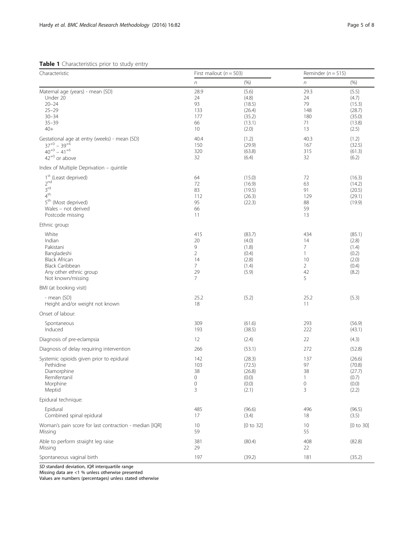<span id="page-4-0"></span>Table 1 Characteristics prior to study entry

| Characteristic                                                                                                                                                          | First mailout ( $n = 503$ )                                                       |                                                                   | Reminder ( $n = 515$ )                                      |                                                                   |
|-------------------------------------------------------------------------------------------------------------------------------------------------------------------------|-----------------------------------------------------------------------------------|-------------------------------------------------------------------|-------------------------------------------------------------|-------------------------------------------------------------------|
|                                                                                                                                                                         | $\sqrt{n}$                                                                        | (% )                                                              | n                                                           | (% )                                                              |
| Maternal age (years) - mean {SD}<br>Under 20<br>$20 - 24$<br>$25 - 29$<br>$30 - 34$<br>$35 - 39$<br>$40+$                                                               | 28.9<br>24<br>93<br>133<br>177<br>66<br>10                                        | ${5.6}$<br>(4.8)<br>(18.5)<br>(26.4)<br>(35.2)<br>(13.1)<br>(2.0) | 29.3<br>24<br>79<br>148<br>180<br>71<br>13                  | ${5.5}$<br>(4.7)<br>(15.3)<br>(28.7)<br>(35.0)<br>(13.8)<br>(2.5) |
| Gestational age at entry (weeks) - mean {SD}<br>$37^{+0} - 39^{+6}$<br>$40^{+0} - 41^{+6}$<br>$42^{+0}$ or above                                                        | 40.4<br>150<br>320<br>32                                                          | ${1.2}$<br>(29.9)<br>(63.8)<br>(6.4)                              | 40.3<br>167<br>315<br>32                                    | ${1.2}$<br>(32.5)<br>(61.3)<br>(6.2)                              |
| Index of Multiple Deprivation - quintile                                                                                                                                |                                                                                   |                                                                   |                                                             |                                                                   |
| 1 <sup>st</sup> (Least deprived)<br>2 <sup>nd</sup><br>3 <sup>rd</sup><br>4 <sup>th</sup><br>5 <sup>th</sup> (Most deprived)<br>Wales - not derived<br>Postcode missing | 64<br>72<br>83<br>112<br>95<br>66<br>11                                           | (15.0)<br>(16.9)<br>(19.5)<br>(26.3)<br>(22.3)                    | 72<br>63<br>91<br>129<br>88<br>59<br>13                     | (16.3)<br>(14.2)<br>(20.5)<br>(29.1)<br>(19.9)                    |
| Ethnic group:                                                                                                                                                           |                                                                                   |                                                                   |                                                             |                                                                   |
| White<br>Indian<br>Pakistani<br>Bangladeshi<br><b>Black African</b><br><b>Black Caribbean</b><br>Any other ethnic group<br>Not known/missing                            | 415<br>20<br>9<br>$\overline{2}$<br>14<br>$\overline{7}$<br>29<br>$7\overline{ }$ | (83.7)<br>(4.0)<br>(1.8)<br>(0.4)<br>(2.8)<br>(1.4)<br>(5.9)      | 434<br>14<br>7<br>1<br>10<br>$\overline{2}$<br>42<br>5      | (85.1)<br>(2.8)<br>(1.4)<br>(0.2)<br>(2.0)<br>(0.4)<br>(8.2)      |
| BMI (at booking visit)                                                                                                                                                  |                                                                                   |                                                                   |                                                             |                                                                   |
| - mean {SD}<br>Height and/or weight not known                                                                                                                           | 25.2<br>18                                                                        | ${5.2}$                                                           | 25.2<br>11                                                  | ${5.3}$                                                           |
| Onset of labour:                                                                                                                                                        |                                                                                   |                                                                   |                                                             |                                                                   |
| Spontaneous<br>Induced                                                                                                                                                  | 309<br>193                                                                        | (61.6)<br>(38.5)                                                  | 293<br>222                                                  | (56.9)<br>(43.1)                                                  |
| Diagnosis of pre-eclampsia                                                                                                                                              | 12                                                                                | (2.4)                                                             | 22                                                          | (4.3)                                                             |
| Diagnosis of delay requiring intervention                                                                                                                               | 266                                                                               | (53.1)                                                            | 272                                                         | (52.8)                                                            |
| Systemic opioids given prior to epidural<br>Pethidine<br>Diamorphine<br>Remifentanil<br>Morphine<br>Meptid                                                              | 142<br>103<br>38<br>0<br>0<br>3                                                   | (28.3)<br>(72.5)<br>(26.8)<br>(0.0)<br>(0.0)<br>(2.1)             | 137<br>97<br>38<br>$\mathbf{1}$<br>$\mathsf{O}\xspace$<br>3 | (26.6)<br>(70.8)<br>(27.7)<br>(0.7)<br>(0.0)<br>(2.2)             |
| Epidural technique:                                                                                                                                                     |                                                                                   |                                                                   |                                                             |                                                                   |
| Epidural<br>Combined spinal epidural                                                                                                                                    | 485<br>17                                                                         | (96.6)<br>(3.4)                                                   | 496<br>18                                                   | (96.5)<br>(3.5)                                                   |
| Woman's pain score for last contraction - median [IQR]<br>Missing                                                                                                       | 10<br>59                                                                          | [0 to 32]                                                         | 10<br>55                                                    | [0 to 30]                                                         |
| Able to perform straight leg raise<br>Missing                                                                                                                           | 381<br>29                                                                         | (80.4)                                                            | 408<br>22                                                   | (82.8)                                                            |
| Spontaneous vaginal birth                                                                                                                                               | 197                                                                               | (39.2)                                                            | 181                                                         | (35.2)                                                            |

SD standard deviation, IQR interquartile range

Missing data are <1 % unless otherwise presented

Values are numbers (percentages) unless stated otherwise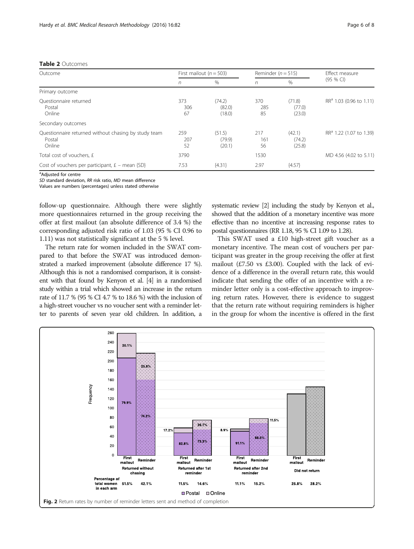# <span id="page-5-0"></span>Table 2 Outcomes

| Outcome                                                                  | First mailout ( $n = 503$ ) |                            | Reminder ( $n = 515$ ) |                            | Effect measure                      |
|--------------------------------------------------------------------------|-----------------------------|----------------------------|------------------------|----------------------------|-------------------------------------|
|                                                                          | n                           | $\%$                       | n                      | $\%$                       | $(95%$ CI)                          |
| Primary outcome                                                          |                             |                            |                        |                            |                                     |
| Ouestionnaire returned<br>Postal<br>Online                               | 373<br>306<br>67            | (74.2)<br>(82.0)<br>(18.0) | 370<br>285<br>85       | (71.8)<br>(77.0)<br>(23.0) | RR <sup>a</sup> 1.03 (0.96 to 1.11) |
| Secondary outcomes                                                       |                             |                            |                        |                            |                                     |
| Questionnaire returned without chasing by study team<br>Postal<br>Online | 259<br>207<br>52            | (51.5)<br>(79.9)<br>(20.1) | 217<br>161<br>56       | (42.1)<br>(74.2)<br>(25.8) | RR <sup>a</sup> 1.22 (1.07 to 1.39) |
| Total cost of vouchers, £                                                | 3790                        |                            | 1530                   |                            | MD 4.56 (4.02 to 5.11)              |
| Cost of vouchers per participant, $E$ – mean $\{SD\}$                    | 7.53                        | ${4.31}$                   | 2.97                   | ${4.57}$                   |                                     |

<sup>a</sup>Adjusted for centre

SD standard deviation, RR risk ratio, MD mean difference

Values are numbers (percentages) unless stated otherwise

follow-up questionnaire. Although there were slightly more questionnaires returned in the group receiving the offer at first mailout (an absolute difference of 3.4 %) the corresponding adjusted risk ratio of 1.03 (95 % CI 0.96 to 1.11) was not statistically significant at the 5 % level.

The return rate for women included in the SWAT compared to that before the SWAT was introduced demonstrated a marked improvement (absolute difference 17 %). Although this is not a randomised comparison, it is consistent with that found by Kenyon et al. [\[4](#page-7-0)] in a randomised study within a trial which showed an increase in the return rate of 11.7 % (95 % CI 4.7 % to 18.6 %) with the inclusion of a high-street voucher vs no voucher sent with a reminder letter to parents of seven year old children. In addition, a systematic review [[2](#page-7-0)] including the study by Kenyon et al., showed that the addition of a monetary incentive was more effective than no incentive at increasing response rates to postal questionnaires (RR 1.18, 95 % CI 1.09 to 1.28).

This SWAT used a £10 high-street gift voucher as a monetary incentive. The mean cost of vouchers per participant was greater in the group receiving the offer at first mailout (£7.50 vs £3.00). Coupled with the lack of evidence of a difference in the overall return rate, this would indicate that sending the offer of an incentive with a reminder letter only is a cost-effective approach to improving return rates. However, there is evidence to suggest that the return rate without requiring reminders is higher in the group for whom the incentive is offered in the first

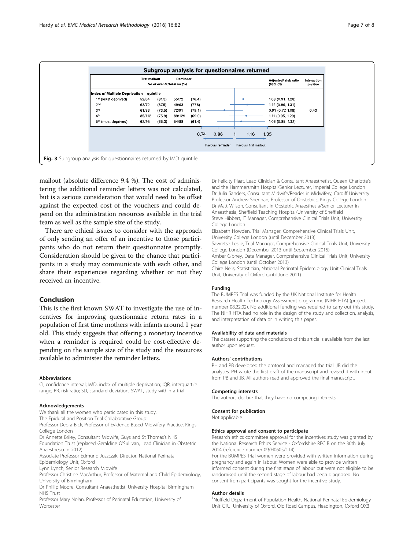<span id="page-6-0"></span>

mailout (absolute difference 9.4 %). The cost of administering the additional reminder letters was not calculated, but is a serious consideration that would need to be offset against the expected cost of the vouchers and could depend on the administration resources available in the trial team as well as the sample size of the study.

There are ethical issues to consider with the approach of only sending an offer of an incentive to those participants who do not return their questionnaire promptly. Consideration should be given to the chance that participants in a study may communicate with each other, and share their experiences regarding whether or not they received an incentive.

# Conclusion

This is the first known SWAT to investigate the use of incentives for improving questionnaire return rates in a population of first time mothers with infants around 1 year old. This study suggests that offering a monetary incentive when a reminder is required could be cost-effective depending on the sample size of the study and the resources available to administer the reminder letters.

#### Abbreviations

CI, confidence interval; IMD, index of multiple deprivation; IQR, interquartile range; RR, risk ratio; SD, standard deviation; SWAT, study within a trial

#### Acknowledgements

We thank all the women who participated in this study.

The Epidural and Position Trial Collaborative Group:

Professor Debra Bick, Professor of Evidence Based Midwifery Practice, Kings College London

Dr Annette Briley, Consultant Midwife, Guys and St Thomas's NHS Foundation Trust (replaced Geraldine O'Sullivan, Lead Clinician in Obstetric Anaesthesia in 2012)

Associate Professor Edmund Juszczak, Director, National Perinatal

Epidemiology Unit, Oxford

Lynn Lynch, Senior Research Midwife

Professor Christine MacArthur, Professor of Maternal and Child Epidemiology, University of Birmingham

Dr Phillip Moore, Consultant Anaesthetist, University Hospital Birmingham NHS Trust

Professor Mary Nolan, Professor of Perinatal Education, University of **Worcester** 

Dr Felicity Plaat, Lead Clinician & Consultant Anaesthetist, Queen Charlotte's and the Hammersmith Hospital/Senior Lecturer, Imperial College London Dr Julia Sanders, Consultant Midwife/Reader in Midwifery, Cardiff University Professor Andrew Shennan, Professor of Obstetrics, Kings College London Dr Matt Wilson, Consultant in Obstetric Anaesthesia/Senior Lecturer in Anaesthesia, Sheffield Teaching Hospital/University of Sheffield Steve Hibbert, IT Manager, Comprehensive Clinical Trials Unit, University College London

Elizabeth Howden, Trial Manager, Comprehensive Clinical Trials Unit, University College London (until December 2013)

Sawretse Leslie, Trial Manager, Comprehensive Clinical Trials Unit, University College London (December 2013 until September 2015)

Amber Gibney, Data Manager, Comprehensive Clinical Trials Unit, University College London (until October 2013)

Claire Nelis, Statistician, National Perinatal Epidemiology Unit Clinical Trials Unit, University of Oxford (until June 2011)

#### Funding

The BUMPES Trial was funded by the UK National Institute for Health Research Health Technology Assessment programme (NIHR HTA) (project number 08.22.02). No additional funding was required to carry out this study. The NIHR HTA had no role in the design of the study and collection, analysis, and interpretation of data or in writing this paper.

#### Availability of data and materials

The dataset supporting the conclusions of this article is available from the last author upon request.

#### Authors' contributions

PH and PB developed the protocol and managed the trial. JB did the analyses. PH wrote the first draft of the manuscript and revised it with input from PB and JB. All authors read and approved the final manuscript.

#### Competing interests

The authors declare that they have no competing interests.

Consent for publication

Not applicable.

#### Ethics approval and consent to participate

Research ethics committee approval for the incentives study was granted by the National Research Ethics Service - Oxfordshire REC B on the 30th July 2014 (reference number 09/H0605/114).

For the BUMPES Trial women were provided with written information during pregnancy and again in labour. Women were able to provide written informed consent during the first stage of labour but were not eligible to be randomised until the second stage of labour had been diagnosed. No consent from participants was sought for the incentive study.

#### Author details

<sup>1</sup>Nuffield Department of Population Health, National Perinatal Epidemiology Unit CTU, University of Oxford, Old Road Campus, Headington, Oxford OX3